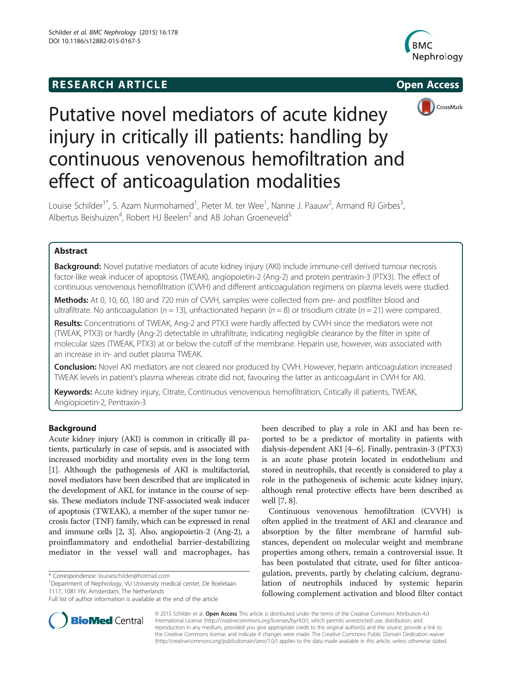## **RESEARCH ARTICLE Example 2014 The SEAR CH ACCESS**







# Putative novel mediators of acute kidney injury in critically ill patients: handling by continuous venovenous hemofiltration and effect of anticoagulation modalities

Louise Schilder<sup>1\*</sup>, S. Azam Nurmohamed<sup>1</sup>, Pieter M. ter Wee<sup>1</sup>, Nanne J. Paauw<sup>2</sup>, Armand RJ Girbes<sup>3</sup> , Albertus Beishuizen<sup>4</sup>, Robert HJ Beelen<sup>2</sup> and AB Johan Groeneveld<sup>5</sup>

## Abstract

Background: Novel putative mediators of acute kidney injury (AKI) include immune-cell derived tumour necrosis factor-like weak inducer of apoptosis (TWEAK), angiopoietin-2 (Ang-2) and protein pentraxin-3 (PTX3). The effect of continuous venovenous hemofiltration (CVVH) and different anticoagulation regimens on plasma levels were studied.

Methods: At 0, 10, 60, 180 and 720 min of CWH, samples were collected from pre- and postfilter blood and ultrafiltrate. No anticoagulation ( $n = 13$ ), unfractionated heparin ( $n = 8$ ) or trisodium citrate ( $n = 21$ ) were compared.

Results: Concentrations of TWEAK, Ang-2 and PTX3 were hardly affected by CWH since the mediators were not (TWEAK, PTX3) or hardly (Ang-2) detectable in ultrafiltrate, indicating negligible clearance by the filter in spite of molecular sizes (TWEAK, PTX3) at or below the cutoff of the membrane. Heparin use, however, was associated with an increase in in- and outlet plasma TWEAK.

Conclusion: Novel AKI mediators are not cleared nor produced by CVVH. However, heparin anticoagulation increased TWEAK levels in patient's plasma whereas citrate did not, favouring the latter as anticoagulant in CVVH for AKI.

Keywords: Acute kidney injury, Citrate, Continuous venovenous hemofiltration, Critically ill patients, TWEAK, Angiopioetin-2, Pentraxin-3

## Background

Acute kidney injury (AKI) is common in critically ill patients, particularly in case of sepsis, and is associated with increased morbidity and mortality even in the long term [[1\]](#page-6-0). Although the pathogenesis of AKI is multifactorial, novel mediators have been described that are implicated in the development of AKI, for instance in the course of sepsis. These mediators include TNF-associated weak inducer of apoptosis (TWEAK), a member of the super tumor necrosis factor (TNF) family, which can be expressed in renal and immune cells [[2](#page-6-0), [3\]](#page-6-0). Also, angiopoietin-2 (Ang-2), a proinflammatory and endothelial barrier-destabilizing mediator in the vessel wall and macrophages, has

<sup>1</sup>Department of Nephrology, VU University medical center, De Boelelaan 1117, 1081 HV, Amsterdam, The Netherlands



Continuous venovenous hemofiltration (CVVH) is often applied in the treatment of AKI and clearance and absorption by the filter membrane of harmful substances, dependent on molecular weight and membrane properties among others, remain a controversial issue. It has been postulated that citrate, used for filter anticoagulation, prevents, partly by chelating calcium, degranulation of neutrophils induced by systemic heparin following complement activation and blood filter contact



© 2015 Schilder et al. Open Access This article is distributed under the terms of the Creative Commons Attribution 4.0 International License [\(http://creativecommons.org/licenses/by/4.0/](http://creativecommons.org/licenses/by/4.0/)), which permits unrestricted use, distribution, and reproduction in any medium, provided you give appropriate credit to the original author(s) and the source, provide a link to the Creative Commons license, and indicate if changes were made. The Creative Commons Public Domain Dedication waiver [\(http://creativecommons.org/publicdomain/zero/1.0/](http://creativecommons.org/publicdomain/zero/1.0/)) applies to the data made available in this article, unless otherwise stated.

<sup>\*</sup> Correspondence: [louiseschilder@hotmail.com](mailto:louiseschilder@hotmail.com) <sup>1</sup>

Full list of author information is available at the end of the article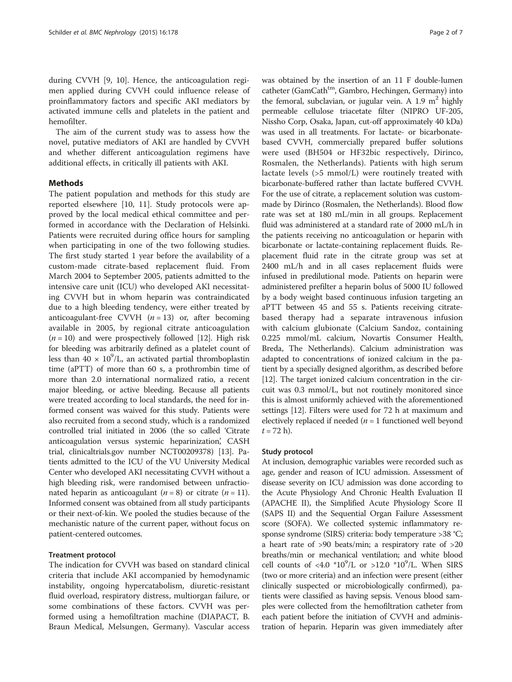during CVVH [[9, 10\]](#page-6-0). Hence, the anticoagulation regimen applied during CVVH could influence release of proinflammatory factors and specific AKI mediators by activated immune cells and platelets in the patient and hemofilter.

The aim of the current study was to assess how the novel, putative mediators of AKI are handled by CVVH and whether different anticoagulation regimens have additional effects, in critically ill patients with AKI.

## Methods

The patient population and methods for this study are reported elsewhere [[10](#page-6-0), [11](#page-6-0)]. Study protocols were approved by the local medical ethical committee and performed in accordance with the Declaration of Helsinki. Patients were recruited during office hours for sampling when participating in one of the two following studies. The first study started 1 year before the availability of a custom-made citrate-based replacement fluid. From March 2004 to September 2005, patients admitted to the intensive care unit (ICU) who developed AKI necessitating CVVH but in whom heparin was contraindicated due to a high bleeding tendency, were either treated by anticoagulant-free CVVH  $(n = 13)$  or, after becoming available in 2005, by regional citrate anticoagulation  $(n = 10)$  and were prospectively followed [\[12](#page-6-0)]. High risk for bleeding was arbitrarily defined as a platelet count of less than  $40 \times 10^9$ /L, an activated partial thromboplastin time (aPTT) of more than 60 s, a prothrombin time of more than 2.0 international normalized ratio, a recent major bleeding, or active bleeding. Because all patients were treated according to local standards, the need for informed consent was waived for this study. Patients were also recruited from a second study, which is a randomized controlled trial initiated in 2006 (the so called 'Citrate anticoagulation versus systemic heparinization', CASH trial, clinicaltrials.gov number NCT00209378) [\[13\]](#page-6-0). Patients admitted to the ICU of the VU University Medical Center who developed AKI necessitating CVVH without a high bleeding risk, were randomised between unfractionated heparin as anticoagulant ( $n = 8$ ) or citrate ( $n = 11$ ). Informed consent was obtained from all study participants or their next-of-kin. We pooled the studies because of the mechanistic nature of the current paper, without focus on patient-centered outcomes.

## Treatment protocol

The indication for CVVH was based on standard clinical criteria that include AKI accompanied by hemodynamic instability, ongoing hypercatabolism, diuretic-resistant fluid overload, respiratory distress, multiorgan failure, or some combinations of these factors. CVVH was performed using a hemofiltration machine (DIAPACT, B. Braun Medical, Melsungen, Germany). Vascular access

was obtained by the insertion of an 11 F double-lumen catheter (GamCath<sup>tm</sup>, Gambro, Hechingen, Germany) into the femoral, subclavian, or jugular vein. A 1.9  $m<sup>2</sup>$  highly permeable cellulose triacetate filter (NIPRO UF-205, Nissho Corp, Osaka, Japan, cut-off approximately 40 kDa) was used in all treatments. For lactate- or bicarbonatebased CVVH, commercially prepared buffer solutions were used (BH504 or HF32bic respectively, Dirinco, Rosmalen, the Netherlands). Patients with high serum lactate levels (>5 mmol/L) were routinely treated with bicarbonate-buffered rather than lactate buffered CVVH. For the use of citrate, a replacement solution was custommade by Dirinco (Rosmalen, the Netherlands). Blood flow rate was set at 180 mL/min in all groups. Replacement fluid was administered at a standard rate of 2000 mL/h in the patients receiving no anticoagulation or heparin with bicarbonate or lactate-containing replacement fluids. Replacement fluid rate in the citrate group was set at 2400 mL/h and in all cases replacement fluids were infused in predilutional mode. Patients on heparin were administered prefilter a heparin bolus of 5000 IU followed by a body weight based continuous infusion targeting an aPTT between 45 and 55 s. Patients receiving citratebased therapy had a separate intravenous infusion with calcium glubionate (Calcium Sandoz, containing 0.225 mmol/mL calcium, Novartis Consumer Health, Breda, The Netherlands). Calcium administration was adapted to concentrations of ionized calcium in the patient by a specially designed algorithm, as described before [[12](#page-6-0)]. The target ionized calcium concentration in the circuit was 0.3 mmol/L, but not routinely monitored since this is almost uniformly achieved with the aforementioned settings [\[12](#page-6-0)]. Filters were used for 72 h at maximum and electively replaced if needed ( $n = 1$  functioned well beyond  $t = 72$  h).

## Study protocol

At inclusion, demographic variables were recorded such as age, gender and reason of ICU admission. Assessment of disease severity on ICU admission was done according to the Acute Physiology And Chronic Health Evaluation II (APACHE II), the Simplified Acute Physiology Score II (SAPS II) and the Sequential Organ Failure Assessment score (SOFA). We collected systemic inflammatory response syndrome (SIRS) criteria: body temperature >38 °C; a heart rate of >90 beats/min; a respiratory rate of >20 breaths/min or mechanical ventilation; and white blood cell counts of <4.0  $*10^9$ /L or >12.0  $*10^9$ /L. When SIRS (two or more criteria) and an infection were present (either clinically suspected or microbiologically confirmed), patients were classified as having sepsis. Venous blood samples were collected from the hemofiltration catheter from each patient before the initiation of CVVH and administration of heparin. Heparin was given immediately after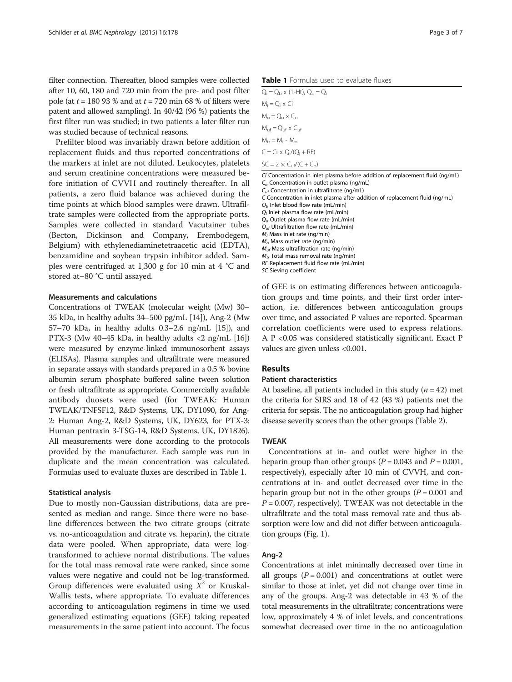filter connection. Thereafter, blood samples were collected after 10, 60, 180 and 720 min from the pre- and post filter pole (at  $t = 180$  93 % and at  $t = 720$  min 68 % of filters were patent and allowed sampling). In 40/42 (96 %) patients the first filter run was studied; in two patients a later filter run was studied because of technical reasons.

Prefilter blood was invariably drawn before addition of replacement fluids and thus reported concentrations of the markers at inlet are not diluted. Leukocytes, platelets and serum creatinine concentrations were measured before initiation of CVVH and routinely thereafter. In all patients, a zero fluid balance was achieved during the time points at which blood samples were drawn. Ultrafiltrate samples were collected from the appropriate ports. Samples were collected in standard Vacutainer tubes (Becton, Dickinson and Company, Erembodegem, Belgium) with ethylenediaminetetraacetic acid (EDTA), benzamidine and soybean trypsin inhibitor added. Samples were centrifuged at 1,300 g for 10 min at 4 °C and stored at−80 °C until assayed.

#### Measurements and calculations

Concentrations of TWEAK (molecular weight (Mw) 30– 35 kDa, in healthy adults 34–500 pg/mL [[14](#page-6-0)]), Ang-2 (Mw 57–70 kDa, in healthy adults 0.3–2.6 ng/mL [\[15\]](#page-6-0)), and PTX-3 (Mw 40–45 kDa, in healthy adults  $\langle 2 \text{ ng/mL}$  [\[16](#page-6-0)]) were measured by enzyme-linked immunosorbent assays (ELISAs). Plasma samples and ultrafiltrate were measured in separate assays with standards prepared in a 0.5 % bovine albumin serum phosphate buffered saline tween solution or fresh ultrafiltrate as appropriate. Commercially available antibody duosets were used (for TWEAK: Human TWEAK/TNFSF12, R&D Systems, UK, DY1090, for Ang-2: Human Ang-2, R&D Systems, UK, DY623, for PTX-3: Human pentraxin 3-TSG-14, R&D Systems, UK, DY1826). All measurements were done according to the protocols provided by the manufacturer. Each sample was run in duplicate and the mean concentration was calculated. Formulas used to evaluate fluxes are described in Table 1.

## Statistical analysis

Due to mostly non-Gaussian distributions, data are presented as median and range. Since there were no baseline differences between the two citrate groups (citrate vs. no-anticoagulation and citrate vs. heparin), the citrate data were pooled. When appropriate, data were logtransformed to achieve normal distributions. The values for the total mass removal rate were ranked, since some values were negative and could not be log-transformed. Group differences were evaluated using  $X^2$  or Kruskal-Wallis tests, where appropriate. To evaluate differences according to anticoagulation regimens in time we used generalized estimating equations (GEE) taking repeated measurements in the same patient into account. The focus

Table 1 Formulas used to evaluate fluxes

| .                                                    |  |
|------------------------------------------------------|--|
| $SC = 2 \times C_{\text{Uf}}/(C + C_{\Omega})$       |  |
| $C = Ci \times Q_i/(Q_i + RF)$                       |  |
| $M_{\rm tr} = M_{\rm i} - M_{\odot}$                 |  |
| $M_{\text{uf}} = Q_{\text{uf}} \times C_{\text{uf}}$ |  |
| $M_o = Q_o \times C_o$                               |  |
| $M_i = Q_i \times Ci$                                |  |
| $Q_i = Q_b \times (1-Ht), Q_o = Q_i$                 |  |

Ci Concentration in inlet plasma before addition of replacement fluid (ng/mL)  $C<sub>o</sub>$  Concentration in outlet plasma (ng/mL)

 $C_{\text{uf}}$  Concentration in ultrafiltrate (ng/mL)

C Concentration in inlet plasma after addition of replacement fluid (ng/mL)  $Q_b$  Inlet blood flow rate (mL/min)

Qi Inlet plasma flow rate (mL/min)

 $Q<sub>o</sub>$  Outlet plasma flow rate (mL/min)  $Q_{uf}$  Ultrafiltration flow rate (mL/min)

 $M_i$  Mass inlet rate (ng/min)

M<sub>o</sub> Mass outlet rate (ng/min)

 $M_{\text{ref}}$  Mass ultrafiltration rate (ng/min)

 $M_{tr}$  Total mass removal rate (ng/min)

RF Replacement fluid flow rate (mL/min)

SC Sieving coefficient

of GEE is on estimating differences between anticoagulation groups and time points, and their first order interaction, i.e. differences between anticoagulation groups over time, and associated P values are reported. Spearman correlation coefficients were used to express relations. A P <0.05 was considered statistically significant. Exact P values are given unless <0.001.

## Results

#### Patient characteristics

At baseline, all patients included in this study  $(n = 42)$  met the criteria for SIRS and 18 of 42 (43 %) patients met the criteria for sepsis. The no anticoagulation group had higher disease severity scores than the other groups (Table [2](#page-3-0)).

## TWEAK

Concentrations at in- and outlet were higher in the heparin group than other groups ( $P = 0.043$  and  $P = 0.001$ , respectively), especially after 10 min of CVVH, and concentrations at in- and outlet decreased over time in the heparin group but not in the other groups ( $P = 0.001$  and  $P = 0.007$ , respectively). TWEAK was not detectable in the ultrafiltrate and the total mass removal rate and thus absorption were low and did not differ between anticoagulation groups (Fig. [1\)](#page-3-0).

## Ang-2

Concentrations at inlet minimally decreased over time in all groups  $(P = 0.001)$  and concentrations at outlet were similar to those at inlet, yet did not change over time in any of the groups. Ang-2 was detectable in 43 % of the total measurements in the ultrafiltrate; concentrations were low, approximately 4 % of inlet levels, and concentrations somewhat decreased over time in the no anticoagulation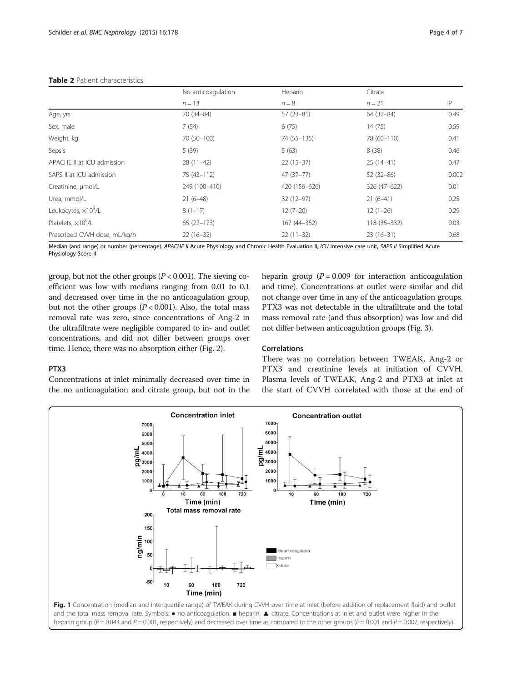<span id="page-3-0"></span>

|                              | No anticoagulation | Heparin        | Citrate      |       |  |
|------------------------------|--------------------|----------------|--------------|-------|--|
|                              | $n = 13$           | $n = 8$        | $n = 21$     | P     |  |
| Age, yrs                     | 70 (34-84)         | $57(23-81)$    | $64(32-84)$  | 0.49  |  |
| Sex, male                    | 7(54)              | 6(75)          | 14(75)       | 0.59  |  |
| Weight, kg                   | 70 (50-100)        | 74 (55-135)    | 78 (60-110)  | 0.41  |  |
| Sepsis                       | 5(39)              | 5(63)          | 8(38)        | 0.46  |  |
| APACHE II at ICU admission   | $28(11-42)$        | $22(15-37)$    | $25(14-41)$  | 0.47  |  |
| SAPS II at ICU admission     | 75 (43-112)        | $47(37 - 77)$  | $52(32-86)$  | 0.002 |  |
| Creatinine, µmol/L           | 249 (100-410)      | 420 (156-626)  | 326 (47-622) | 0.01  |  |
| Urea, mmol/L                 | $21(6-48)$         | $32(12-97)$    | $21(6-41)$   | 0.25  |  |
| Leukocytes, $\times 10^9$ /L | $8(1-17)$          | $12(7-20)$     | $12(1-26)$   | 0.29  |  |
| Platelets, $\times 10^9$ /L  | $65(22-173)$       | 167 (44 - 352) | 118 (35-332) | 0.03  |  |
| Prescribed CWH dose, mL/kg/h | $22(16-32)$        | $22(11-32)$    | $23(16-31)$  | 0.68  |  |

Median (and range) or number (percentage). APACHE II Acute Physiology and Chronic Health Evaluation II, ICU intensive care unit, SAPS II Simplified Acute Physiology Score II

group, but not the other groups ( $P < 0.001$ ). The sieving coefficient was low with medians ranging from 0.01 to 0.1 and decreased over time in the no anticoagulation group, but not the other groups  $(P < 0.001)$ . Also, the total mass removal rate was zero, since concentrations of Ang-2 in the ultrafiltrate were negligible compared to in- and outlet concentrations, and did not differ between groups over time. Hence, there was no absorption either (Fig. [2](#page-4-0)).

## heparin group ( $P = 0.009$  for interaction anticoagulation and time). Concentrations at outlet were similar and did not change over time in any of the anticoagulation groups. PTX3 was not detectable in the ultrafiltrate and the total mass removal rate (and thus absorption) was low and did not differ between anticoagulation groups (Fig. [3\)](#page-4-0).

## Correlations

## PTX3

Concentrations at inlet minimally decreased over time in the no anticoagulation and citrate group, but not in the There was no correlation between TWEAK, Ang-2 or PTX3 and creatinine levels at initiation of CVVH. Plasma levels of TWEAK, Ang-2 and PTX3 at inlet at the start of CVVH correlated with those at the end of

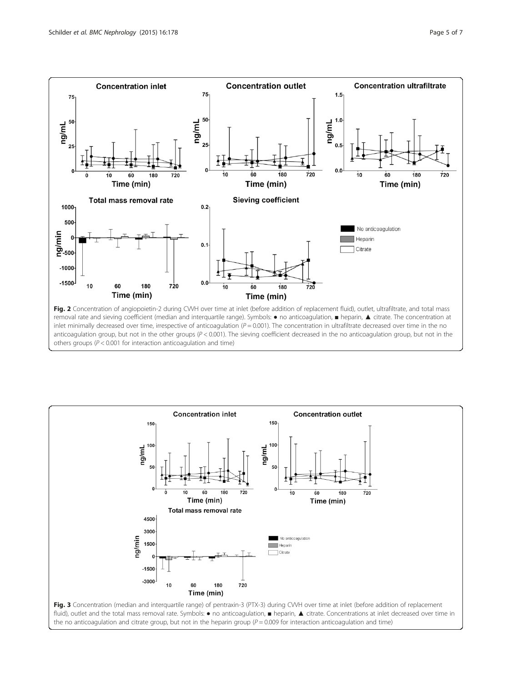<span id="page-4-0"></span>



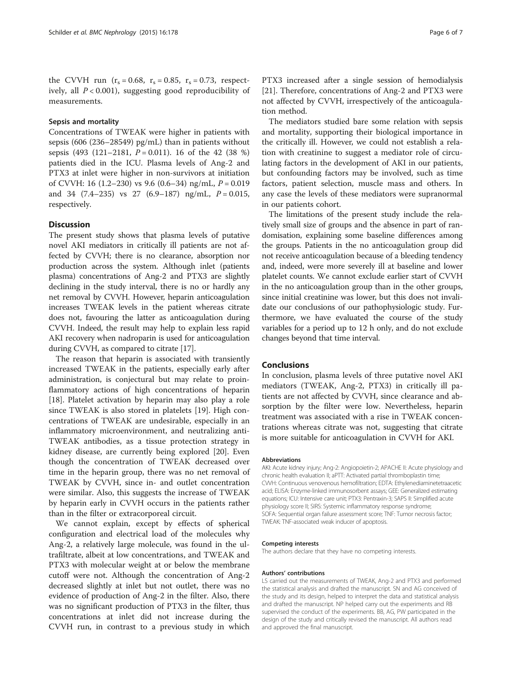the CVVH run  $(r_s = 0.68, r_s = 0.85, r_s = 0.73,$  respectively, all  $P < 0.001$ ), suggesting good reproducibility of measurements.

#### Sepsis and mortality

Concentrations of TWEAK were higher in patients with sepsis (606 (236–28549) pg/mL) than in patients without sepsis (493 (121–2181,  $P = 0.011$ ). 16 of the 42 (38 %) patients died in the ICU. Plasma levels of Ang-2 and PTX3 at inlet were higher in non-survivors at initiation of CVVH: 16 (1.2–230) vs 9.6 (0.6–34) ng/mL,  $P = 0.019$ and 34 (7.4–235) vs 27 (6.9–187) ng/mL,  $P = 0.015$ , respectively.

## **Discussion**

The present study shows that plasma levels of putative novel AKI mediators in critically ill patients are not affected by CVVH; there is no clearance, absorption nor production across the system. Although inlet (patients plasma) concentrations of Ang-2 and PTX3 are slightly declining in the study interval, there is no or hardly any net removal by CVVH. However, heparin anticoagulation increases TWEAK levels in the patient whereas citrate does not, favouring the latter as anticoagulation during CVVH. Indeed, the result may help to explain less rapid AKI recovery when nadroparin is used for anticoagulation during CVVH, as compared to citrate [\[17\]](#page-6-0).

The reason that heparin is associated with transiently increased TWEAK in the patients, especially early after administration, is conjectural but may relate to proinflammatory actions of high concentrations of heparin [[18\]](#page-6-0). Platelet activation by heparin may also play a role since TWEAK is also stored in platelets [[19](#page-6-0)]. High concentrations of TWEAK are undesirable, especially in an inflammatory microenvironment, and neutralizing anti-TWEAK antibodies, as a tissue protection strategy in kidney disease, are currently being explored [\[20](#page-6-0)]. Even though the concentration of TWEAK decreased over time in the heparin group, there was no net removal of TWEAK by CVVH, since in- and outlet concentration were similar. Also, this suggests the increase of TWEAK by heparin early in CVVH occurs in the patients rather than in the filter or extracorporeal circuit.

We cannot explain, except by effects of spherical configuration and electrical load of the molecules why Ang-2, a relatively large molecule, was found in the ultrafiltrate, albeit at low concentrations, and TWEAK and PTX3 with molecular weight at or below the membrane cutoff were not. Although the concentration of Ang-2 decreased slightly at inlet but not outlet, there was no evidence of production of Ang-2 in the filter. Also, there was no significant production of PTX3 in the filter, thus concentrations at inlet did not increase during the CVVH run, in contrast to a previous study in which PTX3 increased after a single session of hemodialysis [[21\]](#page-6-0). Therefore, concentrations of Ang-2 and PTX3 were not affected by CVVH, irrespectively of the anticoagulation method.

The mediators studied bare some relation with sepsis and mortality, supporting their biological importance in the critically ill. However, we could not establish a relation with creatinine to suggest a mediator role of circulating factors in the development of AKI in our patients, but confounding factors may be involved, such as time factors, patient selection, muscle mass and others. In any case the levels of these mediators were supranormal in our patients cohort.

The limitations of the present study include the relatively small size of groups and the absence in part of randomisation, explaining some baseline differences among the groups. Patients in the no anticoagulation group did not receive anticoagulation because of a bleeding tendency and, indeed, were more severely ill at baseline and lower platelet counts. We cannot exclude earlier start of CVVH in the no anticoagulation group than in the other groups, since initial creatinine was lower, but this does not invalidate our conclusions of our pathophysiologic study. Furthermore, we have evaluated the course of the study variables for a period up to 12 h only, and do not exclude changes beyond that time interval.

## Conclusions

In conclusion, plasma levels of three putative novel AKI mediators (TWEAK, Ang-2, PTX3) in critically ill patients are not affected by CVVH, since clearance and absorption by the filter were low. Nevertheless, heparin treatment was associated with a rise in TWEAK concentrations whereas citrate was not, suggesting that citrate is more suitable for anticoagulation in CVVH for AKI.

#### Abbreviations

AKI: Acute kidney injury; Ang-2: Angiopoietin-2; APACHE II: Acute physiology and chronic health evaluation II; aPTT: Activated partial thromboplastin time; CVVH: Continuous venovenous hemofiltration; EDTA: Ethylenediaminetetraacetic acid; ELISA: Enzyme-linked immunosorbent assays; GEE: Generalized estimating equations; ICU: Intensive care unit; PTX3: Pentraxin-3; SAPS II: Simplified acute physiology score II; SIRS: Systemic inflammatory response syndrome; SOFA: Sequential organ failure assessment score; TNF: Tumor necrosis factor; TWEAK: TNF-associated weak inducer of apoptosis.

#### Competing interests

The authors declare that they have no competing interests.

#### Authors' contributions

LS carried out the measurements of TWEAK, Ang-2 and PTX3 and performed the statistical analysis and drafted the manuscript. SN and AG conceived of the study and its design, helped to interpret the data and statistical analysis and drafted the manuscript. NP helped carry out the experiments and RB supervised the conduct of the experiments. BB, AG, PW participated in the design of the study and critically revised the manuscript. All authors read and approved the final manuscript.